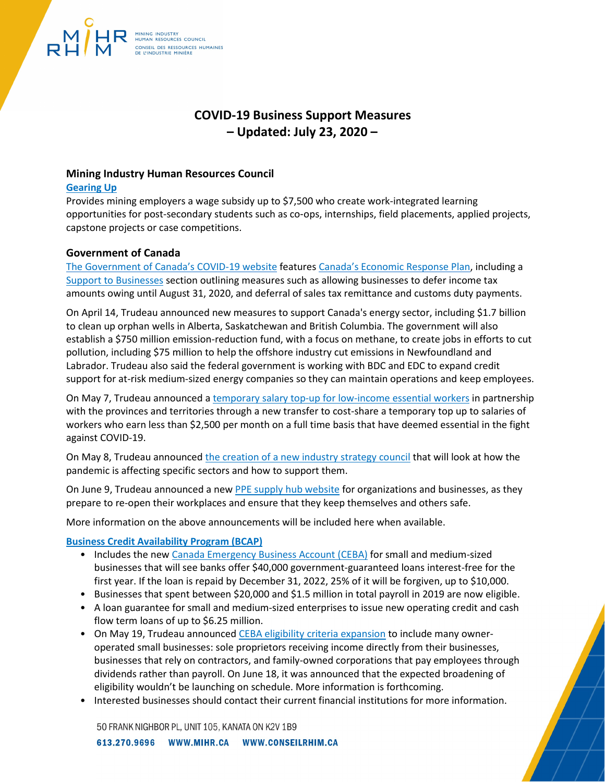# **COVID-19 Business Support Measures – Updated: July 23, 2020 –**

# **Mining Industry Human Resources Council**

MINING INDUSTRY FUMAN RESOURCES COUNCIL

CONSEIL DES RESSOURCES HUMAINES<br>DE L'INDUSTRIE MINIÈRE

#### **[Gearing Up](https://www.mihr.ca/careers/gearing-up)**

Provides mining employers a wage subsidy up to \$7,500 who create work-integrated learning opportunities for post-secondary students such as co‑ops, internships, field placements, applied projects, capstone projects or case competitions.

# **Government of Canada**

[The Government of Canada's COVID-19 website](http://www.canada.ca/coronavirus) features [Canada's Economic Response Plan,](https://www.canada.ca/en/department-finance/economic-response-plan.html) including a [Support to Businesses](https://www.canada.ca/en/department-finance/economic-response-plan.html#businesses) section outlining measures such as allowing businesses to defer income tax amounts owing until August 31, 2020, and deferral of sales tax remittance and customs duty payments.

On April 14, Trudeau announced new measures to support Canada's energy sector, including \$1.7 billion to clean up orphan wells in Alberta, Saskatchewan and British Columbia. The government will also establish a \$750 million emission-reduction fund, with a focus on methane, to create jobs in efforts to cut pollution, including \$75 million to help the offshore industry cut emissions in Newfoundland and Labrador. Trudeau also said the federal government is working with BDC and EDC to expand credit support for at-risk medium-sized energy companies so they can maintain operations and keep employees.

On May 7, Trudeau announced [a temporary salary top-up for low-income essential workers](https://www.canada.ca/en/department-finance/economic-response-plan.html#individuals) in partnership with the provinces and territories through a new transfer to cost-share a temporary top up to salaries of workers who earn less than \$2,500 per month on a full time basis that have deemed essential in the fight against COVID-19.

On May 8, Trudeau announced [the creation of a new industry strategy council](https://www.canada.ca/en/innovation-science-economic-development/news/2020/05/minister-bains-announces-new-industry-strategy-council.html) that will look at how the pandemic is affecting specific sectors and how to support them.

On June 9, Trudeau announced a new [PPE supply](https://www.canada.ca/en/public-services-procurement/news/2020/06/government-of-canada-creates-a-hub-for-organizations-looking-to-find-resources-on-buying-and-supplying-personal-protective-equipment.html) hub website for organizations and businesses, as they prepare to re-open their workplaces and ensure that they keep themselves and others safe.

More information on the above announcements will be included here when available.

# **[Business Credit Availability Program \(BCAP\)](https://www.canada.ca/en/department-finance/programs/financial-sector-policy/business-credit-availability-program.html)**

- Includes the new [Canada Emergency Business Account](https://ceba-cuec.ca/) (CEBA) for small and medium-sized businesses that will see banks offer \$40,000 government-guaranteed loans interest-free for the first year. If the loan is repaid by December 31, 2022, 25% of it will be forgiven, up to \$10,000.
- Businesses that spent between \$20,000 and \$1.5 million in total payroll in 2019 are now eligible.
- A loan guarantee for small and medium-sized enterprises to issue new operating credit and cash flow term loans of up to \$6.25 million.
- On May 19, Trudeau announced [CEBA eligibility criteria expansion](https://pm.gc.ca/en/news/news-releases/2020/05/19/prime-minister-announces-expansion-support-workers-and-small) to include many owneroperated small businesses: sole proprietors receiving income directly from their businesses, businesses that rely on contractors, and family-owned corporations that pay employees through dividends rather than payroll. On June 18, it was announced that the expected broadening of eligibility wouldn't be launching on schedule. More information is forthcoming.
- Interested businesses should contact their current financial institutions for more information.

50 FRANK NIGHBOR PL, UNIT 105, KANATA ON K2V 1B9

613.270.9696 WWW.MIHR.CA WWW.CONSEILRHIM.CA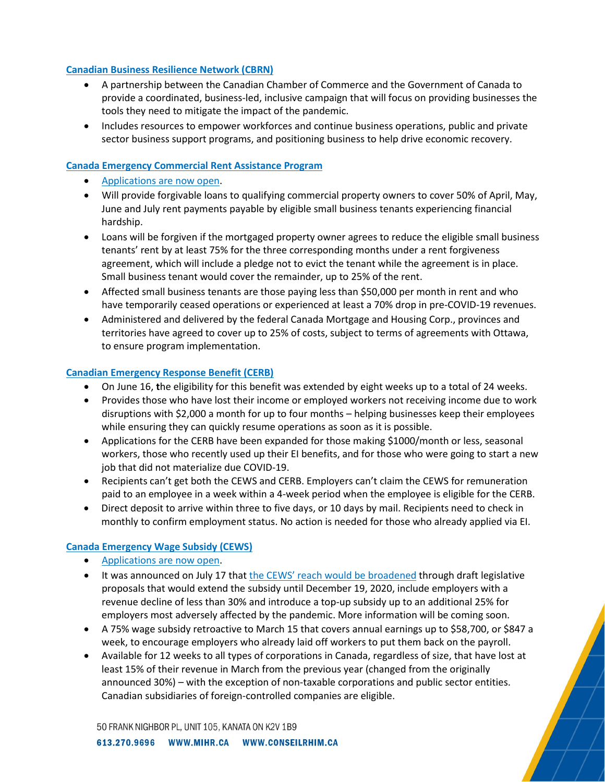## **[Canadian Business Resilience Network \(CBRN\)](https://www.canadianbusinessresiliencenetwork.ca/)**

- A partnership between the Canadian Chamber of Commerce and the Government of Canada to provide a coordinated, business-led, inclusive campaign that will focus on providing businesses the tools they need to mitigate the impact of the pandemic.
- Includes resources to empower workforces and continue business operations, public and private sector business support programs, and positioning business to help drive economic recovery.

#### **[Canada Emergency Commercial Rent Assistance Program](https://www.cmhc-schl.gc.ca/en/finance-and-investing/covid19-cecra-small-business)**

- [Applications are now open.](https://cecra-apply.com/account/login?ReturnUrl=%2F)
- Will provide forgivable loans to qualifying commercial property owners to cover 50% of April, May, June and July rent payments payable by eligible small business tenants experiencing financial hardship.
- Loans will be forgiven if the mortgaged property owner agrees to reduce the eligible small business tenants' rent by at least 75% for the three corresponding months under a rent forgiveness agreement, which will include a pledge not to evict the tenant while the agreement is in place. Small business tenant would cover the remainder, up to 25% of the rent.
- Affected small business tenants are those paying less than \$50,000 per month in rent and who have temporarily ceased operations or experienced at least a 70% drop in pre-COVID-19 revenues.
- Administered and delivered by the federal Canada Mortgage and Housing Corp., provinces and territories have agreed to cover up to 25% of costs, subject to terms of agreements with Ottawa, to ensure program implementation.

#### **[Canadian Emergency Response Benefit \(CERB\)](https://www.canada.ca/en/services/benefits/ei/cerb-application.html)**

- On June 16, **t**he eligibility for this benefit was extended by eight weeks up to a total of 24 weeks.
- Provides those who have lost their income or employed workers not receiving income due to work disruptions with \$2,000 a month for up to four months – helping businesses keep their employees while ensuring they can quickly resume operations as soon as it is possible.
- Applications for the CERB have been expanded for those making \$1000/month or less, seasonal workers, those who recently used up their EI benefits, and for those who were going to start a new job that did not materialize due COVID-19.
- Recipients can't get both the CEWS and CERB. Employers can't claim the CEWS for remuneration paid to an employee in a week within a 4-week period when the employee is eligible for the CERB.
- Direct deposit to arrive within three to five days, or 10 days by mail. Recipients need to check in monthly to confirm employment status. No action is needed for those who already applied via EI.

# **[Canada Emergency Wage Subsidy \(CEWS\)](https://www.canada.ca/en/revenue-agency/services/subsidy/emergency-wage-subsidy.html)**

- [Applications are now open.](https://www.canada.ca/en/revenue-agency/services/subsidy/emergency-wage-subsidy/cews-how-apply.html)
- It was announced on July 17 that [the CEWS' reach would be broadened](https://www.canada.ca/en/department-finance/news/2020/07/supporting-canadian-workers-and-businesses-with-a-redesigned-canada-emergency-wage-subsidy.html) through draft legislative proposals that would extend the subsidy until December 19, 2020, include employers with a revenue decline of less than 30% and introduce a top-up subsidy up to an additional 25% for employers most adversely affected by the pandemic. More information will be coming soon.
- A 75% wage subsidy retroactive to March 15 that covers annual earnings up to \$58,700, or \$847 a week, to encourage employers who already laid off workers to put them back on the payroll.
- Available for 12 weeks to all types of corporations in Canada, regardless of size, that have lost at least 15% of their revenue in March from the previous year (changed from the originally announced 30%) – with the exception of non-taxable corporations and public sector entities. Canadian subsidiaries of foreign-controlled companies are eligible.

50 FRANK NIGHBOR PL, UNIT 105, KANATA ON K2V 1B9

613.270.9696 WWW.MIHR.CA WWW.CONSEILRHIM.CA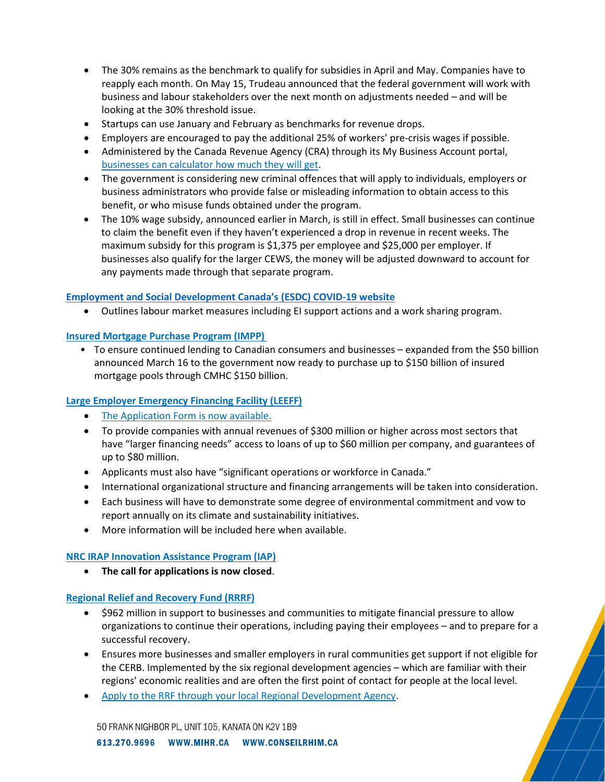- The 30% remains as the benchmark to qualify for subsidies in April and May. Companies have to reapply each month. On May 15, Trudeau announced that the federal government will work with business and labour stakeholders over the next month on adjustments needed – and will be looking at the 30% threshold issue.
- Startups can use January and February as benchmarks for revenue drops.
- Employers are encouraged to pay the additional 25% of workers' pre-crisis wages if possible.
- Administered by the Canada Revenue Agency (CRA) through its My Business Account portal, [businesses can calculator how much they will get.](https://www.canada.ca/en/revenue-agency/services/subsidy/emergency-wage-subsidy/cews-calculate-subsidy-amount.html)
- The government is considering new criminal offences that will apply to individuals, employers or business administrators who provide false or misleading information to obtain access to this benefit, or who misuse funds obtained under the program.
- The 10% wage subsidy, announced earlier in March, is still in effect. Small businesses can continue to claim the benefit even if they haven't experienced a drop in revenue in recent weeks. The maximum subsidy for this program is \$1,375 per employee and \$25,000 per employer. If businesses also qualify for the larger CEWS, the money will be adjusted downward to account for any payments made through that separate program.

# **[Employment and Social Development Canada's \(ESDC\) COVID-19 website](https://www.canada.ca/en/employment-social-development/corporate/notices/coronavirus.html)**

• Outlines labour market measures including EI support actions and a work sharing program.

# **[Insured Mortgage Purchase Program \(IMPP\)](https://www.cmhc-schl.gc.ca/en/finance-and-investing/insured-mortgage-purchase-program)**

• To ensure continued lending to Canadian consumers and businesses – expanded from the \$50 billion announced March 16 to the government now ready to purchase up to \$150 billion of insured mortgage pools through CMHC \$150 billion.

# **[Large Employer Emergency Financing Facility \(LEEFF\)](https://www.cdev.gc.ca/home-ceefc/)**

- [The Application Form is now available.](https://www.cdev.gc.ca/wp-content/uploads/2020/05/LEEFF-ENQUIRY-FORM-v-05.20.2020.pdf)
- To provide companies with annual revenues of \$300 million or higher across most sectors that have "larger financing needs" access to loans of up to \$60 million per company, and guarantees of up to \$80 million.
- Applicants must also have "significant operations or workforce in Canada."
- International organizational structure and financing arrangements will be taken into consideration.
- Each business will have to demonstrate some degree of environmental commitment and vow to report annually on its climate and sustainability initiatives.
- More information will be included here when available.

# **[NRC IRAP Innovation Assistance Program \(IAP\)](https://nrc.canada.ca/en/support-technology-innovation/nrc-irap-innovation-assistance-program-iap?utm_campaign=IRAP_funding_program&utm_medium=link_to_program_page_e&utm_source=home_page_e)**

• **The call for applications is now closed**.

# **[Regional Relief and Recovery Fund \(RRRF\)](https://www.ic.gc.ca/eic/site/icgc.nsf/eng/h_07682.html)**

- \$962 million in support to businesses and communities to mitigate financial pressure to allow organizations to continue their operations, including paying their employees – and to prepare for a successful recovery.
- Ensures more businesses and smaller employers in rural communities get support if not eligible for the CERB. Implemented by the six regional development agencies – which are familiar with their regions' economic realities and are often the first point of contact for people at the local level.
- [Apply to the RRF through your local Regional Development Agency.](https://www.ic.gc.ca/eic/site/icgc.nsf/eng/h_07662.html)

50 FRANK NIGHBOR PL, UNIT 105, KANATA ON K2V 1B9

613.270.9696 WWW.MIHR.CA WWW.CONSEILRHIM.CA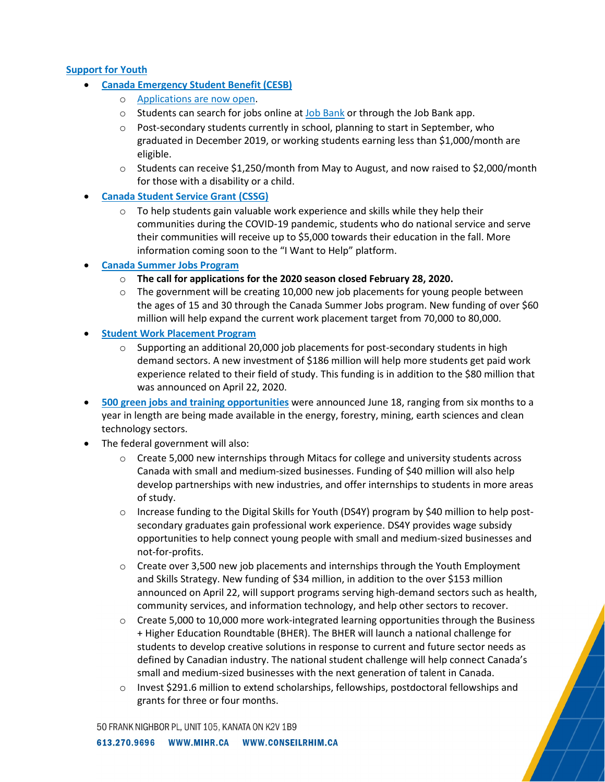# **Support for Youth**

- **[Canada Emergency Student Benefit \(CESB\)](https://www.canada.ca/en/revenue-agency/services/benefits/emergency-student-benefit.html)**
	- o [Applications are now open.](https://www.canada.ca/en/revenue-agency/services/benefits/emergency-student-benefit/cesb-how-apply.html)
	- $\circ$  Students can search for jobs online at [Job Bank](https://www.jobbank.gc.ca/findajob/resources/cesb) or through the Job Bank app.
	- $\circ$  Post-secondary students currently in school, planning to start in September, who graduated in December 2019, or working students earning less than \$1,000/month are eligible.
	- $\circ$  Students can receive \$1,250/month from May to August, and now raised to \$2,000/month for those with a disability or a child.
- **[Canada Student Service Grant \(CSSG\)](https://www.jobbank.gc.ca/volunteer)**
	- $\circ$  To help students gain valuable work experience and skills while they help their communities during the COVID‑19 pandemic, students who do national service and serve their communities will receive up to \$5,000 towards their education in the fall. More information coming soon to the "I Want to Help" platform.
- **[Canada Summer Jobs Program](https://www.canada.ca/en/employment-social-development/services/funding/canada-summer-jobs/temporary-flexibility.html)**
	- o **The call for applications for the 2020 season closed February 28, 2020.**
	- $\circ$  The government will be creating 10,000 new job placements for young people between the ages of 15 and 30 through the Canada Summer Jobs program. New funding of over \$60 million will help expand the current work placement target from 70,000 to 80,000.
- **[Student Work Placement Program](https://www.canada.ca/en/employment-social-development/programs/work-integrated-learning.html)**
	- $\circ$  Supporting an additional 20,000 job placements for post-secondary students in high demand sectors. A new investment of \$186 million will help more students get paid work experience related to their field of study. This funding is in addition to the \$80 million that was announced on April 22, 2020.
- **[500 green jobs and training opportunities](https://www.canada.ca/en/natural-resources-canada/news/2020/06/investing-in-the-future-of-youth-with-green-jobs-in-the-natural-resources-sectors.html)** were announced June 18, ranging from six months to a year in length are being made available in the energy, forestry, mining, earth sciences and clean technology sectors.
- The federal government will also:
	- $\circ$  Create 5,000 new internships through Mitacs for college and university students across Canada with small and medium-sized businesses. Funding of \$40 million will also help develop partnerships with new industries, and offer internships to students in more areas of study.
	- o Increase funding to the Digital Skills for Youth (DS4Y) program by \$40 million to help postsecondary graduates gain professional work experience. DS4Y provides wage subsidy opportunities to help connect young people with small and medium-sized businesses and not-for-profits.
	- $\circ$  Create over 3,500 new job placements and internships through the Youth Employment and Skills Strategy. New funding of \$34 million, in addition to the over \$153 million announced on April 22, will support programs serving high-demand sectors such as health, community services, and information technology, and help other sectors to recover.
	- $\circ$  Create 5,000 to 10,000 more work-integrated learning opportunities through the Business + Higher Education Roundtable (BHER). The BHER will launch a national challenge for students to develop creative solutions in response to current and future sector needs as defined by Canadian industry. The national student challenge will help connect Canada's small and medium-sized businesses with the next generation of talent in Canada.
	- o Invest \$291.6 million to extend scholarships, fellowships, postdoctoral fellowships and grants for three or four months.

50 FRANK NIGHBOR PL, UNIT 105, KANATA ON K2V 1B9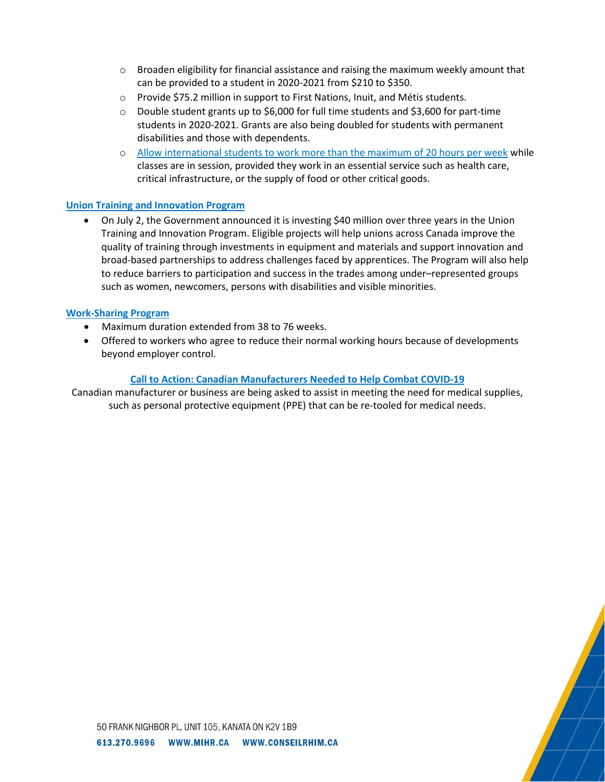- $\circ$  Broaden eligibility for financial assistance and raising the maximum weekly amount that can be provided to a student in 2020-2021 from \$210 to \$350.
- o Provide \$75.2 million in support to First Nations, Inuit, and Métis students.
- o Double student grants up to \$6,000 for full time students and \$3,600 for part-time students in 2020-2021. Grants are also being doubled for students with permanent disabilities and those with dependents.
- o [Allow international students to work more than the maximum of 20 hours per week](https://www.canada.ca/en/immigration-refugees-citizenship/news/2020/04/removing-barriers-for-international-students-working-in-essential-services-to-fight-covid-19.html) while classes are in session, provided they work in an essential service such as health care, critical infrastructure, or the supply of food or other critical goods.

# **[Union Training and Innovation Program](https://www.canada.ca/en/employment-social-development/services/funding/innovation-apprenticeship-union-training.html)**

• On July 2, the Government announced it is investing \$40 million over three years in the Union Training and Innovation Program. Eligible projects will help unions across Canada improve the quality of training through investments in equipment and materials and support innovation and broad-based partnerships to address challenges faced by apprentices. The Program will also help to reduce barriers to participation and success in the trades among under–represented groups such as women, newcomers, persons with disabilities and visible minorities.

#### **[Work-Sharing Program](https://www.canada.ca/en/employment-social-development/services/work-sharing.html)**

- Maximum duration extended from 38 to 76 weeks.
- Offered to workers who agree to reduce their normal working hours because of developments beyond employer control.

#### **[Call to Action: Canadian Manufacturers Needed to Help Combat COVID-19](https://www.canada.ca/en/services/business/maintaingrowimprovebusiness/manufacturers-needed.html)**

Canadian manufacturer or business are being asked to assist in meeting the need for medical supplies, such as personal protective equipment (PPE) that can be re-tooled for medical needs.